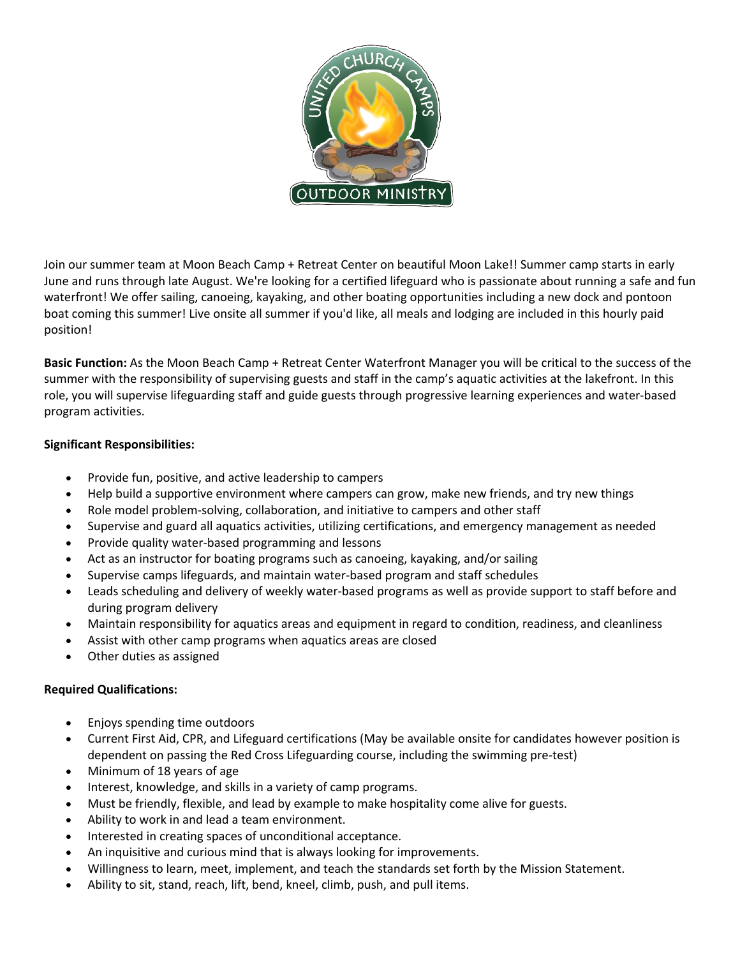

Join our summer team at Moon Beach Camp + Retreat Center on beautiful Moon Lake!! Summer camp starts in early June and runs through late August. We're looking for a certified lifeguard who is passionate about running a safe and fun waterfront! We offer sailing, canoeing, kayaking, and other boating opportunities including a new dock and pontoon boat coming this summer! Live onsite all summer if you'd like, all meals and lodging are included in this hourly paid position!

**Basic Function:** As the Moon Beach Camp + Retreat Center Waterfront Manager you will be critical to the success of the summer with the responsibility of supervising guests and staff in the camp's aquatic activities at the lakefront. In this role, you will supervise lifeguarding staff and guide guests through progressive learning experiences and water-based program activities.

## **Significant Responsibilities:**

- Provide fun, positive, and active leadership to campers
- Help build a supportive environment where campers can grow, make new friends, and try new things
- Role model problem-solving, collaboration, and initiative to campers and other staff
- Supervise and guard all aquatics activities, utilizing certifications, and emergency management as needed
- Provide quality water-based programming and lessons
- Act as an instructor for boating programs such as canoeing, kayaking, and/or sailing
- Supervise camps lifeguards, and maintain water-based program and staff schedules
- Leads scheduling and delivery of weekly water-based programs as well as provide support to staff before and during program delivery
- Maintain responsibility for aquatics areas and equipment in regard to condition, readiness, and cleanliness
- Assist with other camp programs when aquatics areas are closed
- Other duties as assigned

## **Required Qualifications:**

- Enjoys spending time outdoors
- Current First Aid, CPR, and Lifeguard certifications (May be available onsite for candidates however position is dependent on passing the Red Cross Lifeguarding course, including the swimming pre-test)
- Minimum of 18 years of age
- Interest, knowledge, and skills in a variety of camp programs.
- Must be friendly, flexible, and lead by example to make hospitality come alive for guests.
- Ability to work in and lead a team environment.
- Interested in creating spaces of unconditional acceptance.
- An inquisitive and curious mind that is always looking for improvements.
- Willingness to learn, meet, implement, and teach the standards set forth by the Mission Statement.
- Ability to sit, stand, reach, lift, bend, kneel, climb, push, and pull items.